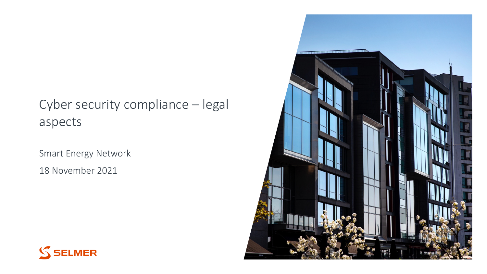### Cyber security compliance – legal aspects

Smart Energy Network

18 November 2021



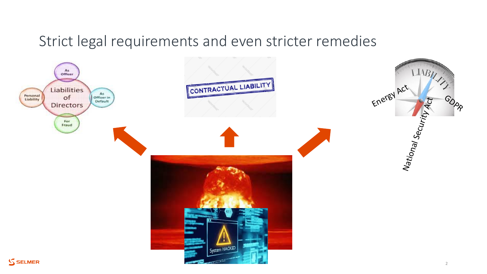### Strict legal requirements and even stricter remedies

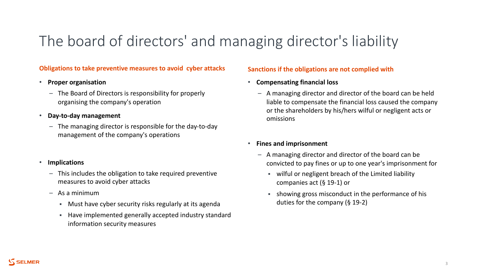## The board of directors' and managing director's liability

#### **Obligations to take preventive measures to avoid cyber attacks Sanctions if the obligations are not complied with**

#### • **Proper organisation**

- The Board of Directors is responsibility for properly organising the company's operation
- **Day-to-day management**
	- The managing director is responsible for the day-to-day management of the company's operations

### • **Implications**

- This includes the obligation to take required preventive measures to avoid cyber attacks
- As a minimum
	- § Must have cyber security risks regularly at its agenda
	- § Have implemented generally accepted industry standard information security measures

- **Compensating financial loss**
	- A managing director and director of the board can be held liable to compensate the financial loss caused the company or the shareholders by his/hers wilful or negligent acts or omissions

### • **Fines and imprisonment**

- A managing director and director of the board can be convicted to pay fines or up to one year's imprisonment for
	- § wilful or negligent breach of the Limited liability companies act (§ 19-1) or
	- § showing gross misconduct in the performance of his duties for the company (§ 19-2)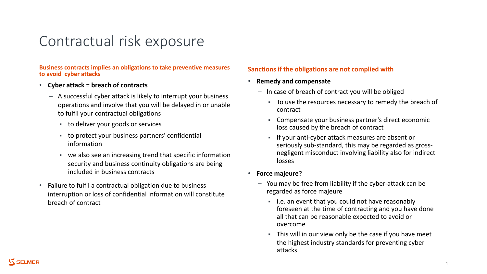### Contractual risk exposure

**Business contracts implies an obligations to take preventive measures** 

- **Cyber attack = breach of contracts**
	- A successful cyber attack is likely to interrupt your business operations and involve that you will be delayed in or unable to fulfil your contractual obligations
		- to deliver your goods or services
		- § to protect your business partners' confidential information
		- we also see an increasing trend that specific information security and business continuity obligations are being included in business contracts
- Failure to fulfil a contractual obligation due to business interruption or loss of confidential information will constitute breach of contract

### **Sanctions if the obligations are not complied with**

- **Remedy and compensate**
	- In case of breach of contract you will be obliged
		- § To use the resources necessary to remedy the breach of contract
		- § Compensate your business partner's direct economic loss caused by the breach of contract
		- § If your anti-cyber attack measures are absent or seriously sub-standard, this may be regarded as grossnegligent misconduct involving liability also for indirect losses
- **Force majeure?**
	- You may be free from liability if the cyber-attack can be regarded as force majeure
		- i.e. an event that you could not have reasonably foreseen at the time of contracting and you have done all that can be reasonable expected to avoid or overcome
		- This will in our view only be the case if you have meet the highest industry standards for preventing cyber attacks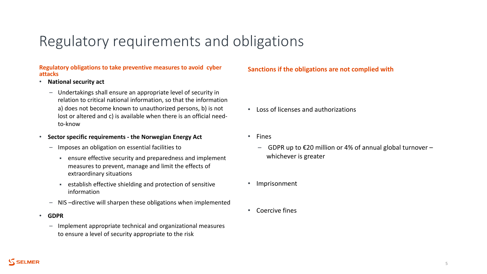### Regulatory requirements and obligations

#### **Regulatory obligations to take preventive measures to avoid cyber attacks Sanctions if the obligations are not complied with**

- **National security act**
	- Undertakings shall ensure an appropriate level of security in relation to critical national information, so that the information a) does not become known to unauthorized persons, b) is not lost or altered and c) is available when there is an official needto-know
- **Sector specific requirements - the Norwegian Energy Act**
	- Imposes an obligation on essential facilities to
		- **Example 1** ensure effective security and preparedness and implement measures to prevent, manage and limit the effects of extraordinary situations
		- **EXECT** establish effective shielding and protection of sensitive information
	- NIS –directive will sharpen these obligations when implemented
- **GDPR**
	- Implement appropriate technical and organizational measures to ensure a level of security appropriate to the risk

- Loss of licenses and authorizations
- Fines
	- $-$  GDPR up to €20 million or 4% of annual global turnover  $$ whichever is greater
- Imprisonment
- Coercive fines